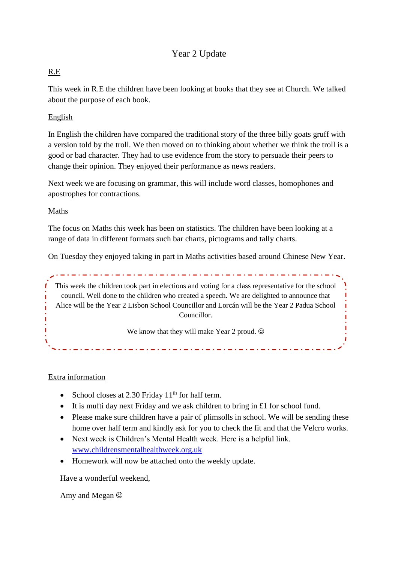## Year 2 Update

### R.E

This week in R.E the children have been looking at books that they see at Church. We talked about the purpose of each book.

### English

In English the children have compared the traditional story of the three billy goats gruff with a version told by the troll. We then moved on to thinking about whether we think the troll is a good or bad character. They had to use evidence from the story to persuade their peers to change their opinion. They enjoyed their performance as news readers.

Next week we are focusing on grammar, this will include word classes, homophones and apostrophes for contractions.

#### Maths

The focus on Maths this week has been on statistics. The children have been looking at a range of data in different formats such bar charts, pictograms and tally charts.

On Tuesday they enjoyed taking in part in Maths activities based around Chinese New Year.

This week the children took part in elections and voting for a class representative for the school council. Well done to the children who created a speech. We are delighted to announce that Alice will be the Year 2 Lisbon School Councillor and Lorcán will be the Year 2 Padua School Councillor.

We know that they will make Year 2 proud.  $\odot$ 

Extra information

- School closes at 2.30 Friday  $11<sup>th</sup>$  for half term.
- It is mufti day next Friday and we ask children to bring in £1 for school fund.
- Please make sure children have a pair of plimsolls in school. We will be sending these home over half term and kindly ask for you to check the fit and that the Velcro works.
- Next week is Children's Mental Health week. Here is a helpful link. [www.childrensmentalhealthweek.org.uk](http://www.childrensmentalhealthweek.org.uk/)
- Homework will now be attached onto the weekly update.

Have a wonderful weekend,

Amy and Megan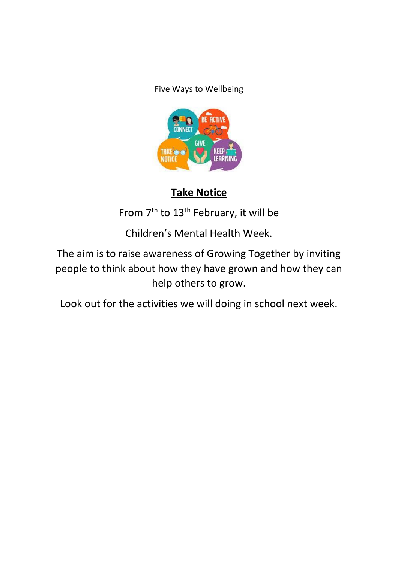Five Ways to Wellbeing



# **Take Notice**

From 7<sup>th</sup> to 13<sup>th</sup> February, it will be

Children's Mental Health Week.

The aim is to raise awareness of Growing Together by inviting people to think about how they have grown and how they can help others to grow.

Look out for the activities we will doing in school next week.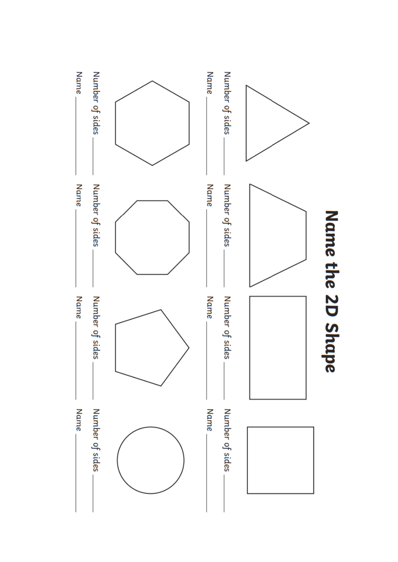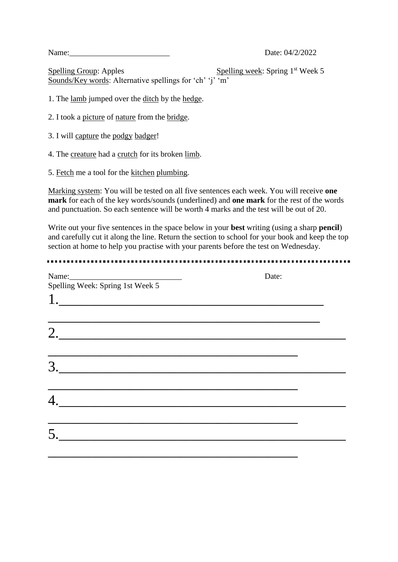Name: 2012 Date: 04/2/2022

Spelling Group: Apples Spelling week: Spring 1<sup>st</sup> Week 5 Sounds/Key words: Alternative spellings for 'ch' 'j' 'm'

1. The lamb jumped over the ditch by the hedge.

- 2. I took a picture of nature from the bridge.
- 3. I will capture the podgy badger!
- 4. The creature had a crutch for its broken limb.
- 5. Fetch me a tool for the kitchen plumbing.

Marking system: You will be tested on all five sentences each week. You will receive **one mark** for each of the key words/sounds (underlined) and **one mark** for the rest of the words and punctuation. So each sentence will be worth 4 marks and the test will be out of 20.

Write out your five sentences in the space below in your **best** writing (using a sharp **pencil**) and carefully cut it along the line. Return the section to school for your book and keep the top section at home to help you practise with your parents before the test on Wednesday.

| Spelling Week: Spring 1st Week 5                                                 | Date: |
|----------------------------------------------------------------------------------|-------|
|                                                                                  |       |
| ,我们也不会有什么。""我们的人,我们也不会有什么?""我们的人,我们也不会有什么?""我们的人,我们也不会有什么?""我们的人,我们也不会有什么?""我们的人 |       |
|                                                                                  |       |
|                                                                                  |       |
|                                                                                  |       |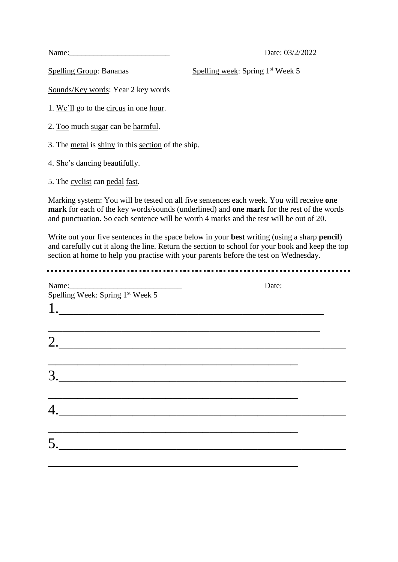Name: 23/2/2022

Spelling Group: Bananas Spelling week: Spring 1<sup>st</sup> Week 5

Sounds/Key words: Year 2 key words

1. We'll go to the circus in one hour.

2. Too much sugar can be harmful.

3. The metal is shiny in this section of the ship.

4. She's dancing beautifully.

5. The cyclist can pedal fast.

Marking system: You will be tested on all five sentences each week. You will receive **one mark** for each of the key words/sounds (underlined) and **one mark** for the rest of the words and punctuation. So each sentence will be worth 4 marks and the test will be out of 20.

Write out your five sentences in the space below in your **best** writing (using a sharp **pencil**) and carefully cut it along the line. Return the section to school for your book and keep the top section at home to help you practise with your parents before the test on Wednesday.

| Spelling Week: Spring 1st Week 5                                                       | Date: |
|----------------------------------------------------------------------------------------|-------|
| 1.                                                                                     |       |
| ,我们也不会有什么。""我们的人,我们也不会有什么?""我们的人,我们也不会有什么?""我们的人,我们也不会有什么?""我们的人,我们也不会有什么?""我们的人<br>2. |       |
|                                                                                        |       |
|                                                                                        |       |
|                                                                                        |       |